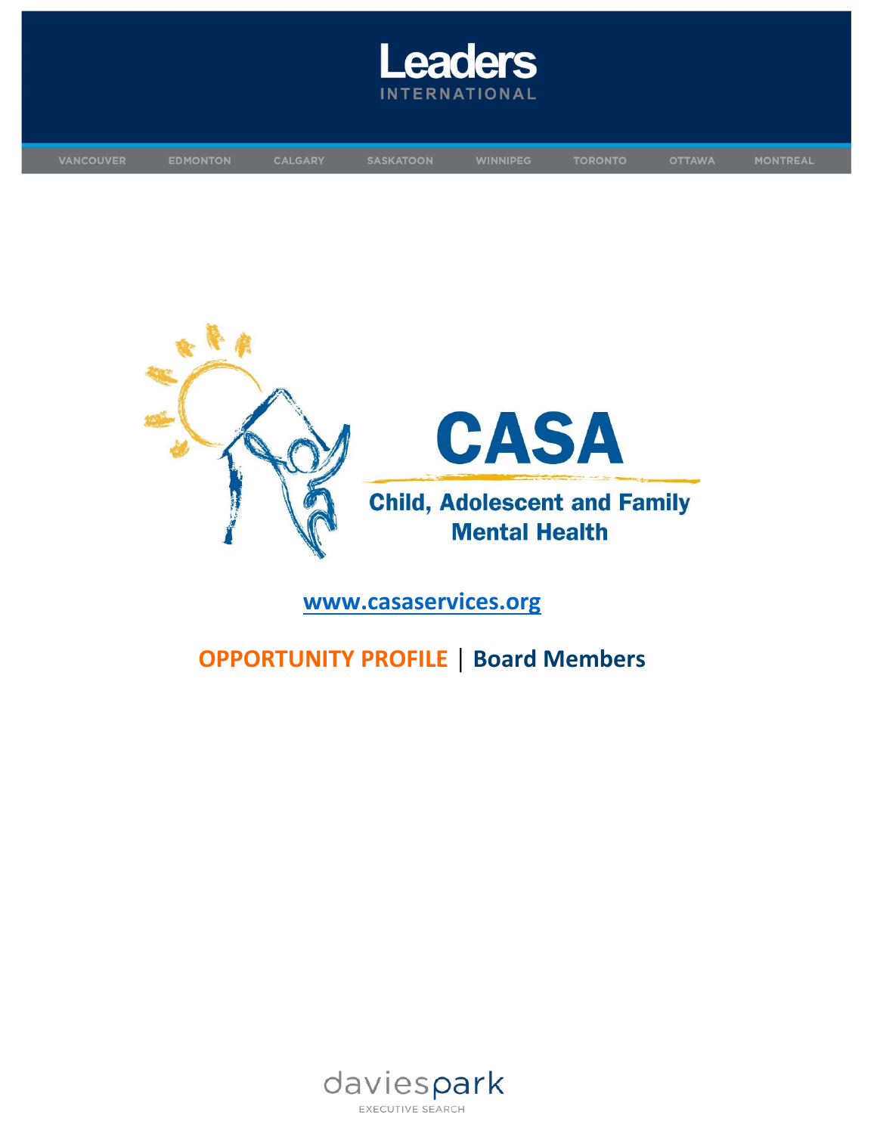





# **[www.casaservices.org](https://www.casaservices.org/)**

# **OPPORTUNITY PROFILE │ Board Members**

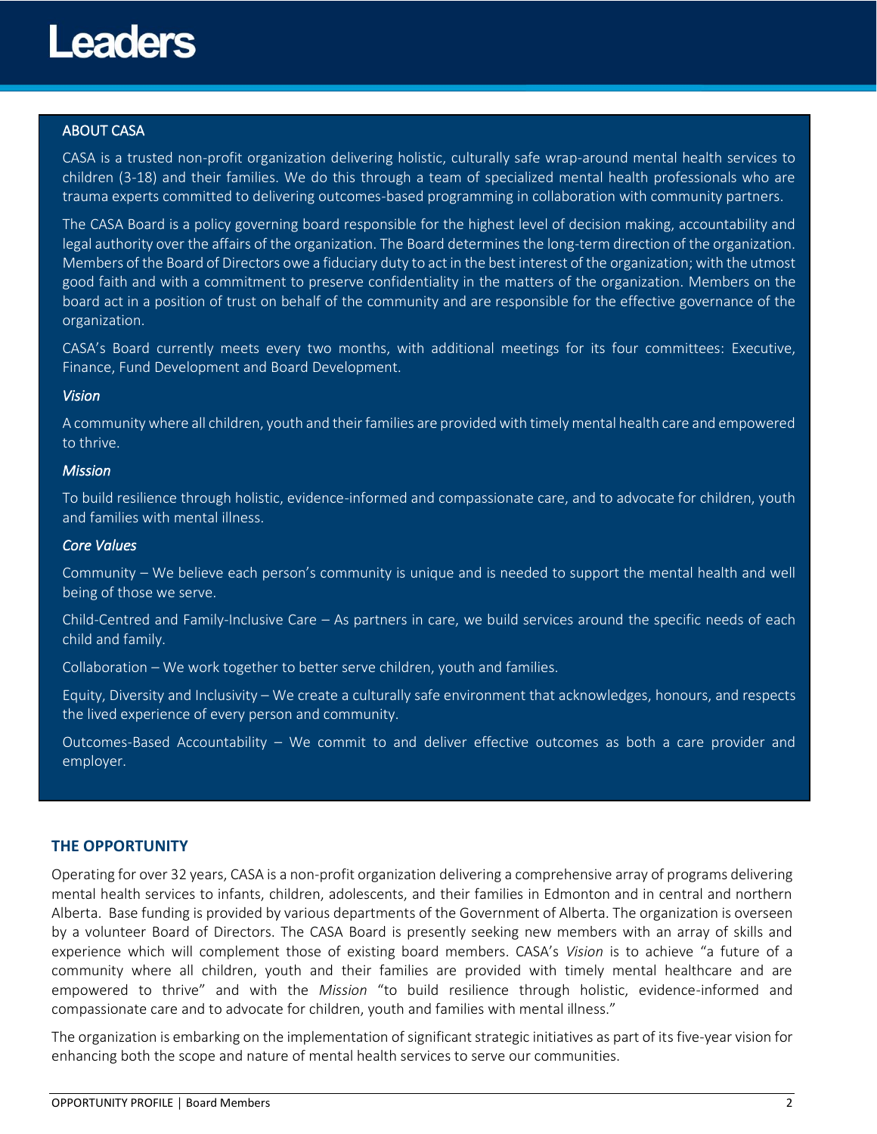

## ABOUT CASA

CASA is a trusted non-profit organization delivering holistic, culturally safe wrap-around mental health services to children (3-18) and their families. We do this through a team of specialized mental health professionals who are trauma experts committed to delivering outcomes-based programming in collaboration with community partners.

The CASA Board is a policy governing board responsible for the highest level of decision making, accountability and legal authority over the affairs of the organization. The Board determines the long-term direction of the organization. Members of the Board of Directors owe a fiduciary duty to act in the best interest of the organization; with the utmost good faith and with a commitment to preserve confidentiality in the matters of the organization. Members on the board act in a position of trust on behalf of the community and are responsible for the effective governance of the organization.

CASA's Board currently meets every two months, with additional meetings for its four committees: Executive, Finance, Fund Development and Board Development.

#### *Vision*

A community where all children, youth and their families are provided with timely mental health care and empowered to thrive.

#### *Mission*

To build resilience through holistic, evidence-informed and compassionate care, and to advocate for children, youth and families with mental illness.

#### *Core Values*

Community – We believe each person's community is unique and is needed to support the mental health and well being of those we serve.

Child-Centred and Family-Inclusive Care – As partners in care, we build services around the specific needs of each child and family.

Collaboration – We work together to better serve children, youth and families.

Equity, Diversity and Inclusivity – We create a culturally safe environment that acknowledges, honours, and respects the lived experience of every person and community.

Outcomes-Based Accountability – We commit to and deliver effective outcomes as both a care provider and employer.

#### **THE OPPORTUNITY**

Operating for over 32 years, CASA is a non-profit organization delivering a comprehensive array of programs delivering mental health services to infants, children, adolescents, and their families in Edmonton and in central and northern Alberta. Base funding is provided by various departments of the Government of Alberta. The organization is overseen by a volunteer Board of Directors. The CASA Board is presently seeking new members with an array of skills and experience which will complement those of existing board members. CASA's *Vision* is to achieve "a future of a community where all children, youth and their families are provided with timely mental healthcare and are empowered to thrive" and with the *Mission* "to build resilience through holistic, evidence-informed and compassionate care and to advocate for children, youth and families with mental illness."

The organization is embarking on the implementation of significant strategic initiatives as part of its five-year vision for enhancing both the scope and nature of mental health services to serve our communities.